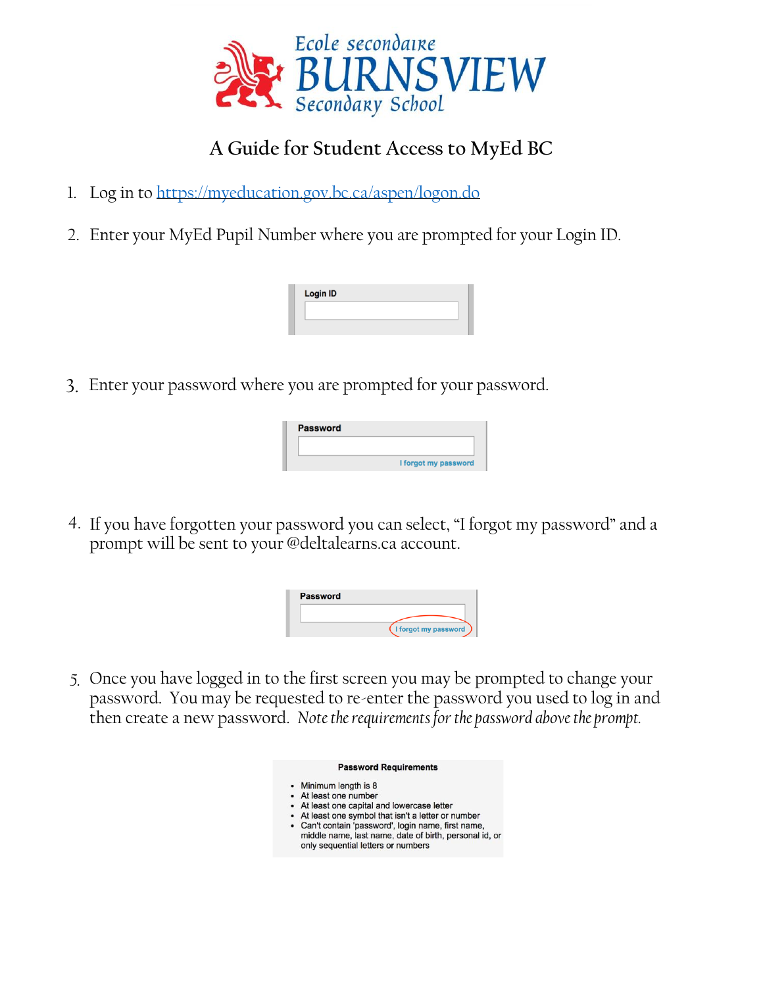

## **A Guide for Student Access to MyEd BC**

- 1. Log in to<https://myeducation.gov.bc.ca/aspen/logon.do>
- 2. Enter your MyEd Pupil Number where you are prompted for your Login ID.

| <b>Login ID</b> |  |  |
|-----------------|--|--|
|                 |  |  |
|                 |  |  |

3. Enter your password where you are prompted for your password.

| <b>Password</b> |                      |
|-----------------|----------------------|
|                 |                      |
|                 |                      |
|                 | I forgot my password |

4. If you have forgotten your password you can select, "I forgot my password" and a prompt will be sent to your @deltalearns.ca account.

| <b>Password</b> |                      |
|-----------------|----------------------|
|                 |                      |
|                 | I forgot my password |

*5.* Once you have logged in to the first screen you may be prompted to change your password. You may be requested to re-enter the password you used to log in and then create a new password. *Note the requirements for the password above the prompt.*

| <b>Password Requirements</b>                                                                                                                        |
|-----------------------------------------------------------------------------------------------------------------------------------------------------|
| • Minimum length is 8                                                                                                                               |
| • At least one number                                                                                                                               |
| • At least one capital and lowercase letter                                                                                                         |
| • At least one symbol that isn't a letter or number                                                                                                 |
| • Can't contain 'password', login name, first name,<br>middle name, last name, date of birth, personal id, or<br>only sequential letters or numbers |